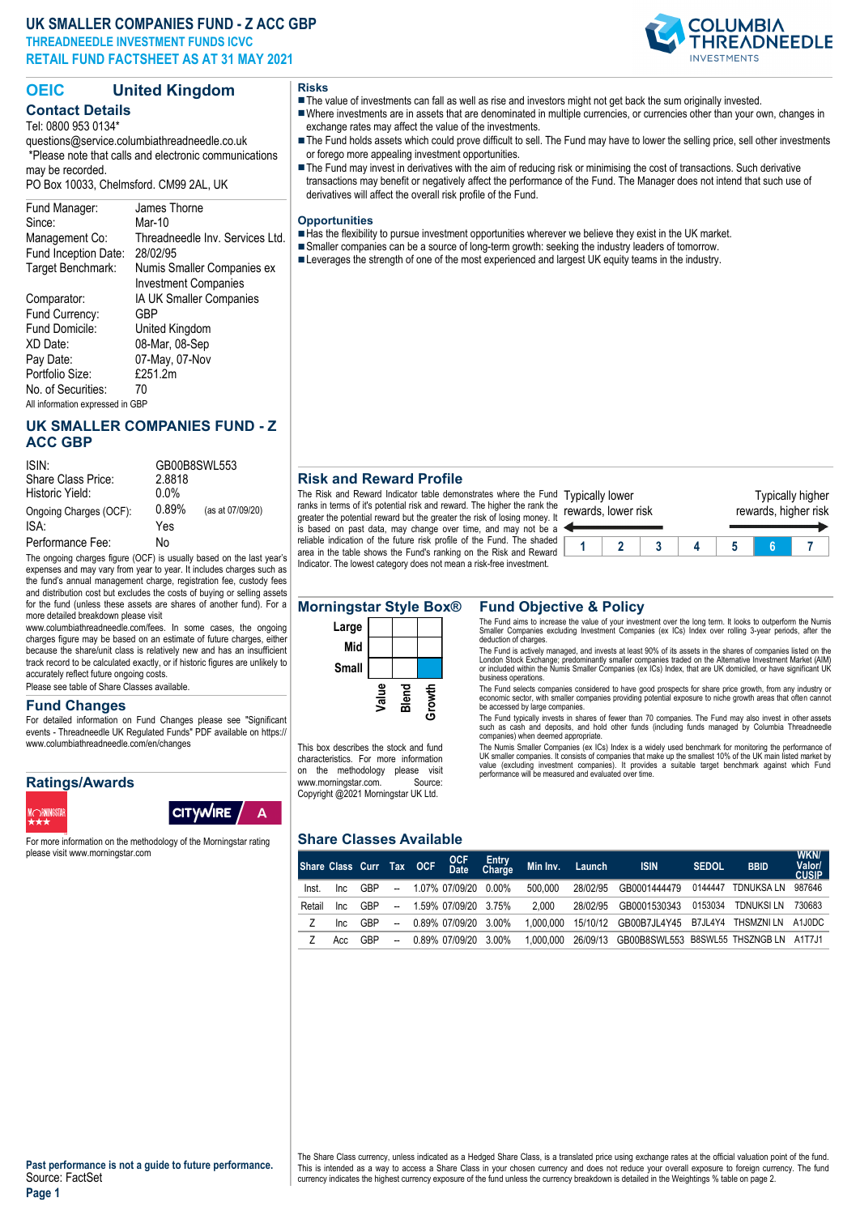# **UK SMALLER COMPANIES FUND - Z ACC GBP THREADNEEDLE INVESTMENT FUNDS ICVC RETAIL FUND FACTSHEET AS AT 31 MAY 2021**



# **OEIC United Kingdom**

#### **Contact Details** Tel: 0800 953 0134\*

questions@service.columbiathreadneedle.co.uk \*Please note that calls and electronic communications may be recorded. PO Box 10033, Chelmsford. CM99 2AL, UK

#### Fund Manager: James Thorne Since: Mar-10 Management Co: Threadneedle Inv. Services Ltd.<br>Fund Inception Date: 28/02/95 Fund Inception Date: Target Benchmark: Numis Smaller Companies ex Investment Companies Comparator: IA UK Smaller Companies<br>Fund Currency: GBP Fund Currency: Fund Domicile: United Kingdom XD Date: 08-Mar, 08-Sep Pay Date: 07-May, 07-Nov<br>Portfolio Size: £251.2m Portfolio Size: No. of Securities: 70 All information expressed in GBP

# **UK SMALLER COMPANIES FUND - Z ACC GBP**

| ISIN:                  | GB00B8SWL553 |                  |  |  |  |  |
|------------------------|--------------|------------------|--|--|--|--|
| Share Class Price:     | 2.8818       |                  |  |  |  |  |
| Historic Yield:        | $0.0\%$      |                  |  |  |  |  |
| Ongoing Charges (OCF): | 0.89%        | (as at 07/09/20) |  |  |  |  |
| ISA:                   | Yes          |                  |  |  |  |  |
| Performance Fee:       | N٥           |                  |  |  |  |  |

The ongoing charges figure (OCF) is usually based on the last year's expenses and may vary from year to year. It includes charges such as the fund's annual management charge, registration fee, custody fees and distribution cost but excludes the costs of buying or selling assets for the fund (unless these assets are shares of another fund). For a more detailed breakdown please visit

www.columbiathreadneedle.com/fees. In some cases, the ongoing charges figure may be based on an estimate of future charges, either because the share/unit class is relatively new and has an insufficient track record to be calculated exactly, or if historic figures are unlikely to accurately reflect future ongoing costs.

Please see table of Share Classes available.

#### **Fund Changes**

For detailed information on Fund Changes please see "Significant events - Threadneedle UK Regulated Funds" PDF available on https:// www.columbiathreadneedle.com/en/changes

# **Ratings/Awards**





For more information on the methodology of the Morningstar rating please visit www.morningstar.com

# **Risks**

- The value of investments can fall as well as rise and investors might not get back the sum originally invested. nWhere investments are in assets that are denominated in multiple currencies, or currencies other than your own, changes in
- exchange rates may affect the value of the investments.
- The Fund holds assets which could prove difficult to sell. The Fund may have to lower the selling price, sell other investments or forego more appealing investment opportunities.
- The Fund may invest in derivatives with the aim of reducing risk or minimising the cost of transactions. Such derivative transactions may benefit or negatively affect the performance of the Fund. The Manager does not intend that such use of derivatives will affect the overall risk profile of the Fund.

#### **Opportunities**

- Has the flexibility to pursue investment opportunities wherever we believe they exist in the UK market.
- Smaller companies can be a source of long-term growth: seeking the industry leaders of tomorrow.
- Leverages the strength of one of the most experienced and largest UK equity teams in the industry.

# **Risk and Reward Profile**

The Risk and Reward Indicator table demonstrates where the Fund Typically lower ranks in terms of it's potential risk and reward. The higher the rank the rewards, lower risk greater the potential reward but the greater the risk of losing money. It is based on past data, may change over time, and may not be a reliable indication of the future risk profile of the Fund. The shaded area in the table shows the Fund's ranking on the Risk and Reward Indicator. The lowest category does not mean a risk-free investment.





This box describes the stock and fund characteristics. For more information on the methodology please visit<br>www.morningstar.com. Source: www.morningstar.com. Copyright @2021 Morningstar UK Ltd.

#### **Morningstar Style Box® Fund Objective & Policy**

The Fund aims to increase the value of your investment over the long term. It looks to outperform the Numis Smaller Companies excluding Investment Companies (ex ICs) Index over rolling 3-year periods, after the deduction of charges.

The Fund is actively managed, and invests at least 90% of its assets in the shares of companies listed on the<br>London Stock Exchange; predominantly smaller companies traded on the Alternative Investment Market (AIM)<br>or incl business operations.

The Fund selects companies considered to have good prospects for share price growth, from any industry or economic sector, with smaller companies providing potential exposure to niche growth areas that often cannot be accessed by large companies.

The Fund typically invests in shares of fewer than 70 companies. The Fund may also invest in other assets such as cash and deposits, and hold other funds (including funds managed by Columbia Threadneedle companies) when deemed appropriate.

The Numis Smaller Companies (ex ICs) Index is a widely used benchmark for monitoring the performance of<br>UK smaller companies. It consists of companies that make up the smallest 10% of the UK main listed market by<br>value (ex

### **Share Classes Available**

| Share Class Curr Tax OCF |      |     |                          | OCF<br>Date          | Entry<br>Charge | Min Inv.  | Launch   | <b>ISIN</b>                            | <b>SEDOL</b> | <b>BBID</b>       | WKN/<br>Valor/<br><b>CUSIP</b> |
|--------------------------|------|-----|--------------------------|----------------------|-----------------|-----------|----------|----------------------------------------|--------------|-------------------|--------------------------------|
| Inst.                    | Inc. | GBP | $\overline{\phantom{a}}$ | 1.07% 07/09/20       | $0.00\%$        | 500.000   | 28/02/95 | GB0001444479                           | 0144447      | <b>TDNUKSA LN</b> | 987646                         |
| Retail                   | Inc. | GBP | $\overline{\phantom{a}}$ | 1.59% 07/09/20 3.75% |                 | 2.000     | 28/02/95 | GB0001530343                           | 0153034      | <b>TDNUKSI LN</b> | 730683                         |
|                          | Inc. | GBP | $\overline{\phantom{a}}$ | 0.89% 07/09/20 3.00% |                 | 1.000.000 | 15/10/12 | GB00B7JL4Y45 B7JL4Y4 THSMZNILN         |              |                   | A1J0DC                         |
|                          | Acc  | GBP | $\overline{\phantom{a}}$ | 0.89% 07/09/20 3.00% |                 | 1.000.000 | 26/09/13 | GB00B8SWL553 B8SWL55 THSZNGB LN A1T7J1 |              |                   |                                |

The Share Class currency, unless indicated as a Hedged Share Class, is a translated price using exchange rates at the official valuation point of the fund. This is intended as a way to access a Share Class in your chosen currency and does not reduce your overall exposure to foreign currency. The fund<br>currency indicates the highest currency exposure of the fund unless the curr